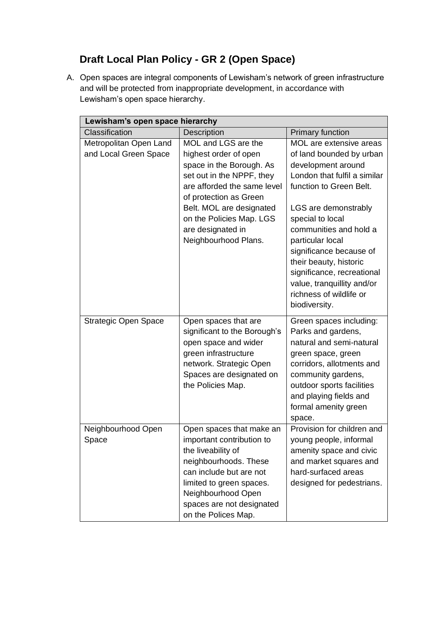# **Draft Local Plan Policy - GR 2 (Open Space)**

A. Open spaces are integral components of Lewisham's network of green infrastructure and will be protected from inappropriate development, in accordance with Lewisham's open space hierarchy.

| Lewisham's open space hierarchy                 |                                                                                                                                                                                                                                                                     |                                                                                                                                                                                                                                                                                                                                                                                             |
|-------------------------------------------------|---------------------------------------------------------------------------------------------------------------------------------------------------------------------------------------------------------------------------------------------------------------------|---------------------------------------------------------------------------------------------------------------------------------------------------------------------------------------------------------------------------------------------------------------------------------------------------------------------------------------------------------------------------------------------|
| Classification                                  | Description                                                                                                                                                                                                                                                         | <b>Primary function</b>                                                                                                                                                                                                                                                                                                                                                                     |
| Metropolitan Open Land<br>and Local Green Space | MOL and LGS are the<br>highest order of open<br>space in the Borough. As<br>set out in the NPPF, they<br>are afforded the same level<br>of protection as Green<br>Belt. MOL are designated<br>on the Policies Map. LGS<br>are designated in<br>Neighbourhood Plans. | MOL are extensive areas<br>of land bounded by urban<br>development around<br>London that fulfil a similar<br>function to Green Belt.<br>LGS are demonstrably<br>special to local<br>communities and hold a<br>particular local<br>significance because of<br>their beauty, historic<br>significance, recreational<br>value, tranquillity and/or<br>richness of wildlife or<br>biodiversity. |
| <b>Strategic Open Space</b>                     | Open spaces that are<br>significant to the Borough's<br>open space and wider<br>green infrastructure<br>network. Strategic Open<br>Spaces are designated on<br>the Policies Map.                                                                                    | Green spaces including:<br>Parks and gardens,<br>natural and semi-natural<br>green space, green<br>corridors, allotments and<br>community gardens,<br>outdoor sports facilities<br>and playing fields and<br>formal amenity green<br>space.                                                                                                                                                 |
| Neighbourhood Open<br>Space                     | Open spaces that make an<br>important contribution to<br>the liveability of<br>neighbourhoods. These<br>can include but are not<br>limited to green spaces.<br>Neighbourhood Open<br>spaces are not designated<br>on the Polices Map.                               | Provision for children and<br>young people, informal<br>amenity space and civic<br>and market squares and<br>hard-surfaced areas<br>designed for pedestrians.                                                                                                                                                                                                                               |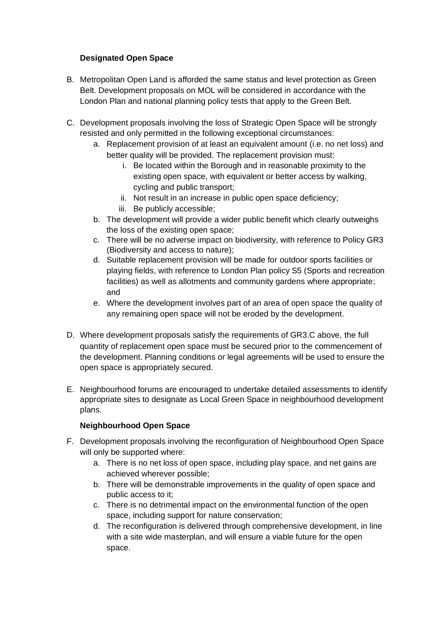## **Designated Open Space**

- B. Metropolitan Open Land is afforded the same status and level protection as Green Belt. Development proposals on MOL will be considered in accordance with the London Plan and national planning policy tests that apply to the Green Belt.
- C. Development proposals involving the loss of Strategic Open Space will be strongly resisted and only permitted in the following exceptional circumstances:
	- a. Replacement provision of at least an equivalent amount (i.e. no net loss) and better quality will be provided. The replacement provision must:
		- i. Be located within the Borough and in reasonable proximity to the existing open space, with equivalent or better access by walking, cycling and public transport;
		- ii. Not result in an increase in public open space deficiency;
		- iii. Be publicly accessible;
	- b. The development will provide a wider public benefit which clearly outweighs the loss of the existing open space;
	- c. There will be no adverse impact on biodiversity, with reference to Policy GR3 (Biodiversity and access to nature);
	- d. Suitable replacement provision will be made for outdoor sports facilities or playing fields, with reference to London Plan policy S5 (Sports and recreation facilities) as well as allotments and community gardens where appropriate; and
	- e. Where the development involves part of an area of open space the quality of any remaining open space will not be eroded by the development.
- D. Where development proposals satisfy the requirements of GR3.C above, the full quantity of replacement open space must be secured prior to the commencement of the development. Planning conditions or legal agreements will be used to ensure the open space is appropriately secured.
- E. Neighbourhood forums are encouraged to undertake detailed assessments to identify appropriate sites to designate as Local Green Space in neighbourhood development plans.

## **Neighbourhood Open Space**

- F. Development proposals involving the reconfiguration of Neighbourhood Open Space will only be supported where:
	- a. There is no net loss of open space, including play space, and net gains are achieved wherever possible;
	- b. There will be demonstrable improvements in the quality of open space and public access to it;
	- c. There is no detrimental impact on the environmental function of the open space, including support for nature conservation;
	- d. The reconfiguration is delivered through comprehensive development, in line with a site wide masterplan, and will ensure a viable future for the open space.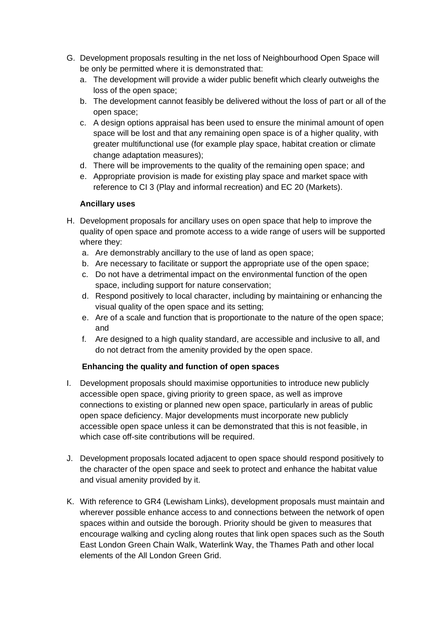- G. Development proposals resulting in the net loss of Neighbourhood Open Space will be only be permitted where it is demonstrated that:
	- a. The development will provide a wider public benefit which clearly outweighs the loss of the open space;
	- b. The development cannot feasibly be delivered without the loss of part or all of the open space;
	- c. A design options appraisal has been used to ensure the minimal amount of open space will be lost and that any remaining open space is of a higher quality, with greater multifunctional use (for example play space, habitat creation or climate change adaptation measures);
	- d. There will be improvements to the quality of the remaining open space; and
	- e. Appropriate provision is made for existing play space and market space with reference to CI 3 (Play and informal recreation) and EC 20 (Markets).

## **Ancillary uses**

- H. Development proposals for ancillary uses on open space that help to improve the quality of open space and promote access to a wide range of users will be supported where they:
	- a. Are demonstrably ancillary to the use of land as open space;
	- b. Are necessary to facilitate or support the appropriate use of the open space;
	- c. Do not have a detrimental impact on the environmental function of the open space, including support for nature conservation;
	- d. Respond positively to local character, including by maintaining or enhancing the visual quality of the open space and its setting;
	- e. Are of a scale and function that is proportionate to the nature of the open space; and
	- f. Are designed to a high quality standard, are accessible and inclusive to all, and do not detract from the amenity provided by the open space.

## **Enhancing the quality and function of open spaces**

- I. Development proposals should maximise opportunities to introduce new publicly accessible open space, giving priority to green space, as well as improve connections to existing or planned new open space, particularly in areas of public open space deficiency. Major developments must incorporate new publicly accessible open space unless it can be demonstrated that this is not feasible, in which case off-site contributions will be required.
- J. Development proposals located adjacent to open space should respond positively to the character of the open space and seek to protect and enhance the habitat value and visual amenity provided by it.
- K. With reference to GR4 (Lewisham Links), development proposals must maintain and wherever possible enhance access to and connections between the network of open spaces within and outside the borough. Priority should be given to measures that encourage walking and cycling along routes that link open spaces such as the South East London Green Chain Walk, Waterlink Way, the Thames Path and other local elements of the All London Green Grid.